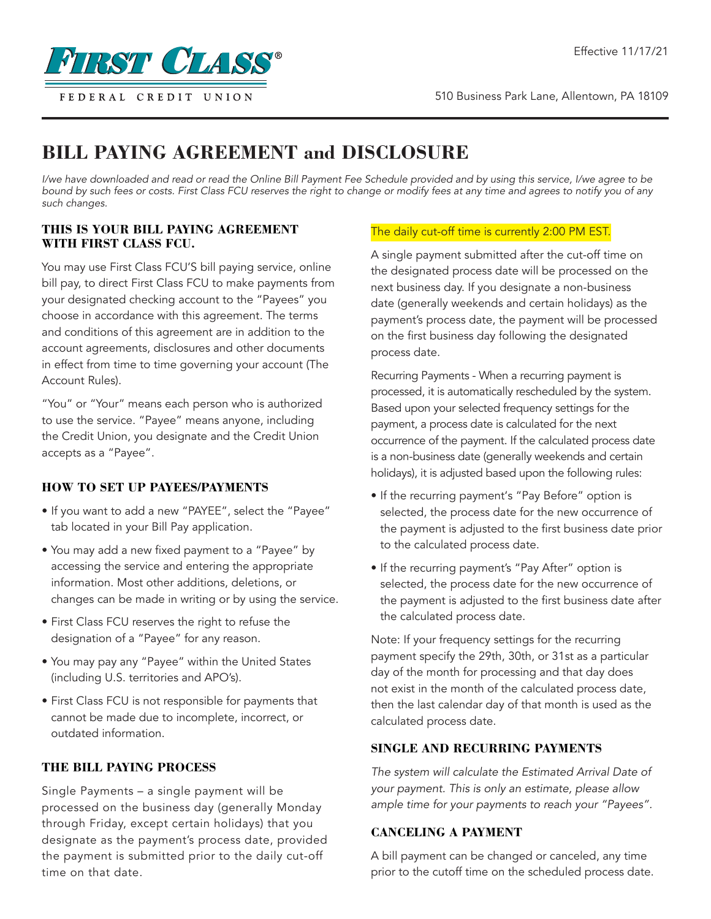

510 Business Park Lane, Allentown, PA 18109

# **BILL PAYING AGREEMENT and DISCLOSURE**

*I/we have downloaded and read or read the Online Bill Payment Fee Schedule provided and by using this service, I/we agree to be bound by such fees or costs. First Class FCU reserves the right to change or modify fees at any time and agrees to notify you of any such changes.*

#### **THIS IS YOUR BILL PAYING AGREEMENT WITH FIRST CLASS FCU.**

You may use First Class FCU'S bill paying service, online bill pay, to direct First Class FCU to make payments from your designated checking account to the "Payees" you choose in accordance with this agreement. The terms and conditions of this agreement are in addition to the account agreements, disclosures and other documents in effect from time to time governing your account (The Account Rules).

"You" or "Your" means each person who is authorized to use the service. "Payee" means anyone, including the Credit Union, you designate and the Credit Union accepts as a "Payee".

#### **HOW TO SET UP PAYEES/PAYMENTS**

- If you want to add a new "PAYEE", select the "Payee" tab located in your Bill Pay application.
- You may add a new fixed payment to a "Payee" by accessing the service and entering the appropriate information. Most other additions, deletions, or changes can be made in writing or by using the service.
- First Class FCU reserves the right to refuse the designation of a "Payee" for any reason.
- You may pay any "Payee" within the United States (including U.S. territories and APO's).
- First Class FCU is not responsible for payments that cannot be made due to incomplete, incorrect, or outdated information.

## **THE BILL PAYING PROCESS**

Single Payments – a single payment will be processed on the business day (generally Monday through Friday, except certain holidays) that you designate as the payment's process date, provided the payment is submitted prior to the daily cut-off time on that date.

### The daily cut-off time is currently 2:00 PM EST.

A single payment submitted after the cut-off time on the designated process date will be processed on the next business day. If you designate a non-business date (generally weekends and certain holidays) as the payment's process date, the payment will be processed on the first business day following the designated process date.

Recurring Payments - When a recurring payment is processed, it is automatically rescheduled by the system. Based upon your selected frequency settings for the payment, a process date is calculated for the next occurrence of the payment. If the calculated process date is a non-business date (generally weekends and certain holidays), it is adjusted based upon the following rules:

- If the recurring payment's "Pay Before" option is selected, the process date for the new occurrence of the payment is adjusted to the first business date prior to the calculated process date.
- If the recurring payment's "Pay After" option is selected, the process date for the new occurrence of the payment is adjusted to the first business date after the calculated process date.

Note: If your frequency settings for the recurring payment specify the 29th, 30th, or 31st as a particular day of the month for processing and that day does not exist in the month of the calculated process date, then the last calendar day of that month is used as the calculated process date.

#### **SINGLE AND RECURRING PAYMENTS**

*The system will calculate the Estimated Arrival Date of your payment. This is only an estimate, please allow ample time for your payments to reach your "Payees".* 

#### **CANCELING A PAYMENT**

A bill payment can be changed or canceled, any time prior to the cutoff time on the scheduled process date.